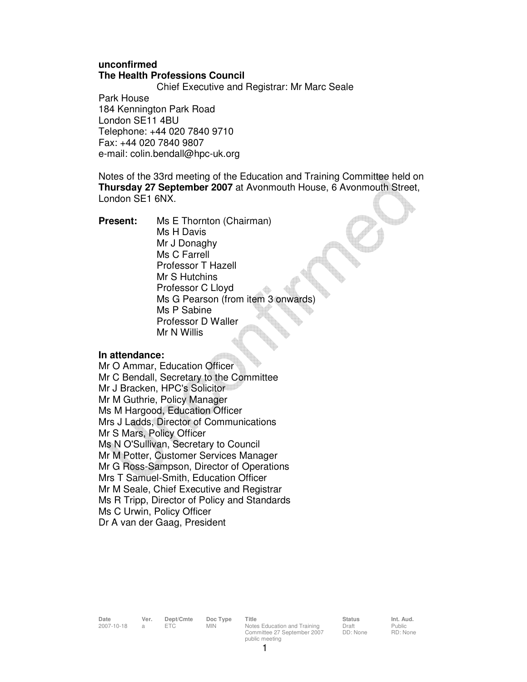# **unconfirmed The Health Professions Council**

Chief Executive and Registrar: Mr Marc Seale

Park House 184 Kennington Park Road London SE11 4BU Telephone: +44 020 7840 9710 Fax: +44 020 7840 9807 e-mail: colin.bendall@hpc-uk.org

Notes of the 33rd meeting of the Education and Training Committee held on **Thursday 27 September 2007** at Avonmouth House, 6 Avonmouth Street, London SE1 6NX.

**Present:** Ms E Thornton (Chairman) Ms H Davis Mr J Donaghy Ms C Farrell Professor T Hazell Mr S Hutchins Professor C Lloyd Ms G Pearson (from item 3 onwards) Ms P Sabine Professor D Waller Mr N Willis

### **In attendance:**

Mr O Ammar, Education Officer Mr C Bendall, Secretary to the Committee Mr J Bracken, HPC's Solicitor Mr M Guthrie, Policy Manager Ms M Hargood, Education Officer Mrs J Ladds, Director of Communications Mr S Mars, Policy Officer Ms N O'Sullivan, Secretary to Council Mr M Potter, Customer Services Manager Mr G Ross-Sampson, Director of Operations Mrs T Samuel-Smith, Education Officer Mr M Seale, Chief Executive and Registrar Ms R Tripp, Director of Policy and Standards Ms C Urwin, Policy Officer Dr A van der Gaag, President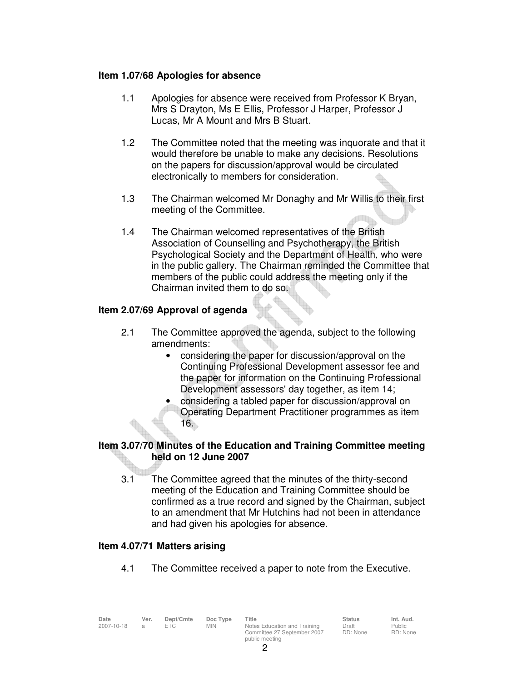### **Item 1.07/68 Apologies for absence**

- 1.1 Apologies for absence were received from Professor K Bryan, Mrs S Drayton, Ms E Ellis, Professor J Harper, Professor J Lucas, Mr A Mount and Mrs B Stuart.
- 1.2 The Committee noted that the meeting was inquorate and that it would therefore be unable to make any decisions. Resolutions on the papers for discussion/approval would be circulated electronically to members for consideration.
- 1.3 The Chairman welcomed Mr Donaghy and Mr Willis to their first meeting of the Committee.
- 1.4 The Chairman welcomed representatives of the British Association of Counselling and Psychotherapy, the British Psychological Society and the Department of Health, who were in the public gallery. The Chairman reminded the Committee that members of the public could address the meeting only if the Chairman invited them to do so.

# **Item 2.07/69 Approval of agenda**

- 2.1 The Committee approved the agenda, subject to the following amendments:
	- considering the paper for discussion/approval on the Continuing Professional Development assessor fee and the paper for information on the Continuing Professional Development assessors' day together, as item 14;
	- considering a tabled paper for discussion/approval on Operating Department Practitioner programmes as item 16.

# **Item 3.07/70 Minutes of the Education and Training Committee meeting held on 12 June 2007**

 3.1 The Committee agreed that the minutes of the thirty-second meeting of the Education and Training Committee should be confirmed as a true record and signed by the Chairman, subject to an amendment that Mr Hutchins had not been in attendance and had given his apologies for absence.

### **Item 4.07/71 Matters arising**

4.1 The Committee received a paper to note from the Executive.

| Date<br>2007-10-18 | Ver. | Dept/Cmte<br>FTC. | Doc Type<br><b>MIN</b> | Title<br>Notes Education and Training | <b>Status</b><br>Draft | Int. Aud.<br>Public |
|--------------------|------|-------------------|------------------------|---------------------------------------|------------------------|---------------------|
|                    |      |                   |                        | Committee 27 September 2007           | DD: None               | RD: None            |
|                    |      |                   |                        | public meeting                        |                        |                     |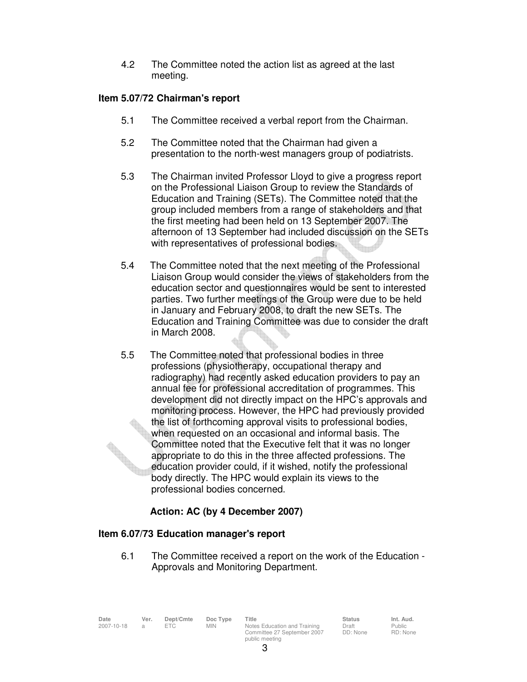4.2 The Committee noted the action list as agreed at the last meeting.

## **Item 5.07/72 Chairman's report**

- 5.1 The Committee received a verbal report from the Chairman.
- 5.2 The Committee noted that the Chairman had given a presentation to the north-west managers group of podiatrists.
- 5.3 The Chairman invited Professor Lloyd to give a progress report on the Professional Liaison Group to review the Standards of Education and Training (SETs). The Committee noted that the group included members from a range of stakeholders and that the first meeting had been held on 13 September 2007. The afternoon of 13 September had included discussion on the SETs with representatives of professional bodies.
- 5.4 The Committee noted that the next meeting of the Professional Liaison Group would consider the views of stakeholders from the education sector and questionnaires would be sent to interested parties. Two further meetings of the Group were due to be held in January and February 2008, to draft the new SETs. The Education and Training Committee was due to consider the draft in March 2008.
- 5.5 The Committee noted that professional bodies in three professions (physiotherapy, occupational therapy and radiography) had recently asked education providers to pay an annual fee for professional accreditation of programmes. This development did not directly impact on the HPC's approvals and monitoring process. However, the HPC had previously provided the list of forthcoming approval visits to professional bodies, when requested on an occasional and informal basis. The Committee noted that the Executive felt that it was no longer appropriate to do this in the three affected professions. The education provider could, if it wished, notify the professional body directly. The HPC would explain its views to the professional bodies concerned.

# **Action: AC (by 4 December 2007)**

### **Item 6.07/73 Education manager's report**

6.1 The Committee received a report on the work of the Education - Approvals and Monitoring Department.

| Date       | Ver. | Dept/Cmte | Doc Type   | Title                        | <b>Status</b> | Int. Aud. |
|------------|------|-----------|------------|------------------------------|---------------|-----------|
| 2007-10-18 |      |           | <b>MIN</b> | Notes Education and Training | Draft         | Public    |
|            |      |           |            | Committee 27 September 2007  | DD: None      | RD: None  |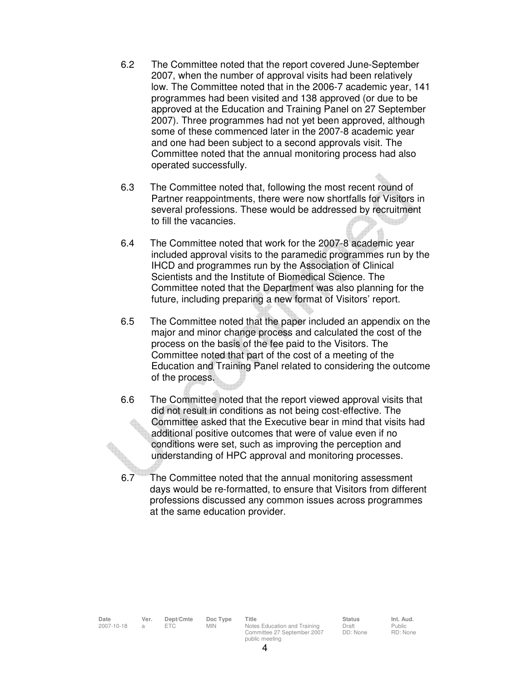- 6.2 The Committee noted that the report covered June-September 2007, when the number of approval visits had been relatively low. The Committee noted that in the 2006-7 academic year, 141 programmes had been visited and 138 approved (or due to be approved at the Education and Training Panel on 27 September 2007). Three programmes had not yet been approved, although some of these commenced later in the 2007-8 academic year and one had been subject to a second approvals visit. The Committee noted that the annual monitoring process had also operated successfully.
- 6.3 The Committee noted that, following the most recent round of Partner reappointments, there were now shortfalls for Visitors in several professions. These would be addressed by recruitment to fill the vacancies.
- 6.4 The Committee noted that work for the 2007-8 academic year included approval visits to the paramedic programmes run by the IHCD and programmes run by the Association of Clinical Scientists and the Institute of Biomedical Science. The Committee noted that the Department was also planning for the future, including preparing a new format of Visitors' report.
- 6.5 The Committee noted that the paper included an appendix on the major and minor change process and calculated the cost of the process on the basis of the fee paid to the Visitors. The Committee noted that part of the cost of a meeting of the Education and Training Panel related to considering the outcome of the process.
- 6.6 The Committee noted that the report viewed approval visits that did not result in conditions as not being cost-effective. The Committee asked that the Executive bear in mind that visits had additional positive outcomes that were of value even if no conditions were set, such as improving the perception and understanding of HPC approval and monitoring processes.
- 6.7 The Committee noted that the annual monitoring assessment days would be re-formatted, to ensure that Visitors from different professions discussed any common issues across programmes at the same education provider.

**Date Ver. Dept/Cmte Doc Type Title Status Int. Aud.** 2007-10-18 a ETC MIN Notes Education and Training Committee 27 September 2007 public meeting

Draft DD: None

Public RD: None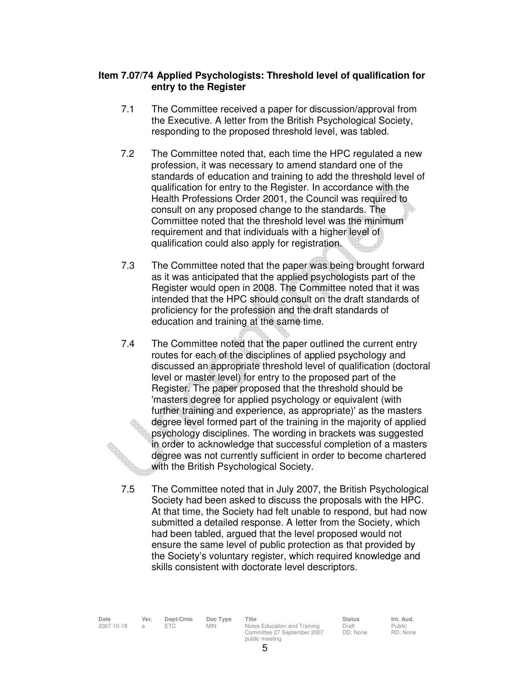### **Item 7.07/74 Applied Psychologists: Threshold level of qualification for entry to the Register**

- 7.1 The Committee received a paper for discussion/approval from the Executive. A letter from the British Psychological Society, responding to the proposed threshold level, was tabled.
- 7.2 The Committee noted that, each time the HPC regulated a new profession, it was necessary to amend standard one of the standards of education and training to add the threshold level of qualification for entry to the Register. In accordance with the Health Professions Order 2001, the Council was required to consult on any proposed change to the standards. The Committee noted that the threshold level was the minimum requirement and that individuals with a higher level of qualification could also apply for registration.
- 7.3 The Committee noted that the paper was being brought forward as it was anticipated that the applied psychologists part of the Register would open in 2008. The Committee noted that it was intended that the HPC should consult on the draft standards of proficiency for the profession and the draft standards of education and training at the same time.
- 7.4 The Committee noted that the paper outlined the current entry routes for each of the disciplines of applied psychology and discussed an appropriate threshold level of qualification (doctoral level or master level) for entry to the proposed part of the Register. The paper proposed that the threshold should be 'masters degree for applied psychology or equivalent (with further training and experience, as appropriate)' as the masters degree level formed part of the training in the majority of applied psychology disciplines. The wording in brackets was suggested in order to acknowledge that successful completion of a masters degree was not currently sufficient in order to become chartered with the British Psychological Society.
- 7.5 The Committee noted that in July 2007, the British Psychological Society had been asked to discuss the proposals with the HPC. At that time, the Society had felt unable to respond, but had now submitted a detailed response. A letter from the Society, which had been tabled, argued that the level proposed would not ensure the same level of public protection as that provided by the Society's voluntary register, which required knowledge and skills consistent with doctorate level descriptors.

**Date Ver. Dept/Cmte Doc Type Title Status Int. Aud.** 2007-10-18 a ETC MIN Notes Education and Training Committee 27 September 2007 public meeting

Draft DD: None

Public RD: None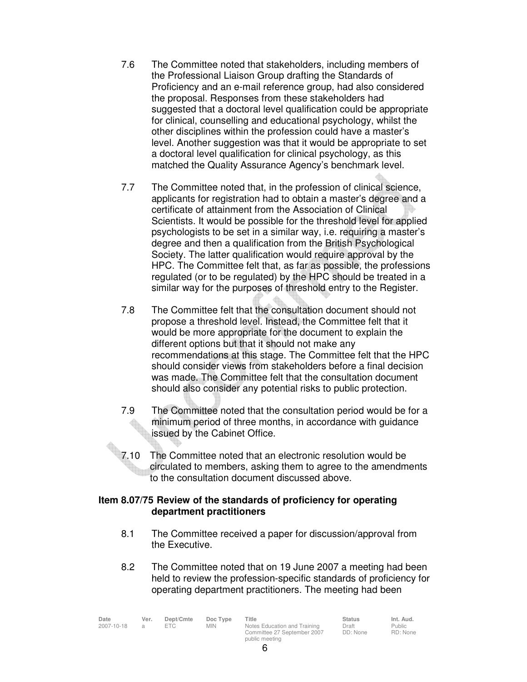- 7.6 The Committee noted that stakeholders, including members of the Professional Liaison Group drafting the Standards of Proficiency and an e-mail reference group, had also considered the proposal. Responses from these stakeholders had suggested that a doctoral level qualification could be appropriate for clinical, counselling and educational psychology, whilst the other disciplines within the profession could have a master's level. Another suggestion was that it would be appropriate to set a doctoral level qualification for clinical psychology, as this matched the Quality Assurance Agency's benchmark level.
- 7.7 The Committee noted that, in the profession of clinical science, applicants for registration had to obtain a master's degree and a certificate of attainment from the Association of Clinical Scientists. It would be possible for the threshold level for applied psychologists to be set in a similar way, i.e. requiring a master's degree and then a qualification from the British Psychological Society. The latter qualification would require approval by the HPC. The Committee felt that, as far as possible, the professions regulated (or to be regulated) by the HPC should be treated in a similar way for the purposes of threshold entry to the Register.
- 7.8 The Committee felt that the consultation document should not propose a threshold level. Instead, the Committee felt that it would be more appropriate for the document to explain the different options but that it should not make any recommendations at this stage. The Committee felt that the HPC should consider views from stakeholders before a final decision was made. The Committee felt that the consultation document should also consider any potential risks to public protection.
- 7.9 The Committee noted that the consultation period would be for a minimum period of three months, in accordance with guidance issued by the Cabinet Office.
- 7.10 The Committee noted that an electronic resolution would be circulated to members, asking them to agree to the amendments to the consultation document discussed above.

## **Item 8.07/75 Review of the standards of proficiency for operating department practitioners**

- 8.1 The Committee received a paper for discussion/approval from the Executive.
- 8.2 The Committee noted that on 19 June 2007 a meeting had been held to review the profession-specific standards of proficiency for operating department practitioners. The meeting had been

| Date       | Ver. | Dept/Cmte | Doc Type | Title                        | <b>Status</b> | Int. Aud. |
|------------|------|-----------|----------|------------------------------|---------------|-----------|
| 2007-10-18 |      | FTC.      | MIN.     | Notes Education and Training | Draft         | Public    |
|            |      |           |          | Committee 27 September 2007  | DD: None      | RD: None  |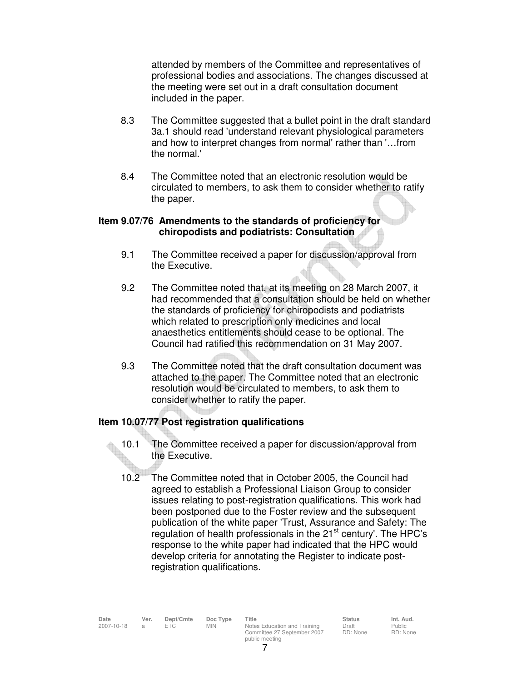attended by members of the Committee and representatives of professional bodies and associations. The changes discussed at the meeting were set out in a draft consultation document included in the paper.

- 8.3 The Committee suggested that a bullet point in the draft standard 3a.1 should read 'understand relevant physiological parameters and how to interpret changes from normal' rather than '…from the normal.'
- 8.4 The Committee noted that an electronic resolution would be circulated to members, to ask them to consider whether to ratify the paper.

### **Item 9.07/76 Amendments to the standards of proficiency for chiropodists and podiatrists: Consultation**

- 9.1 The Committee received a paper for discussion/approval from the Executive.
- 9.2 The Committee noted that, at its meeting on 28 March 2007, it had recommended that a consultation should be held on whether the standards of proficiency for chiropodists and podiatrists which related to prescription only medicines and local anaesthetics entitlements should cease to be optional. The Council had ratified this recommendation on 31 May 2007.
- 9.3 The Committee noted that the draft consultation document was attached to the paper. The Committee noted that an electronic resolution would be circulated to members, to ask them to consider whether to ratify the paper.

# **Item 10.07/77 Post registration qualifications**

- 10.1 The Committee received a paper for discussion/approval from the Executive.
- 10.2 The Committee noted that in October 2005, the Council had agreed to establish a Professional Liaison Group to consider issues relating to post-registration qualifications. This work had been postponed due to the Foster review and the subsequent publication of the white paper 'Trust, Assurance and Safety: The regulation of health professionals in the 21<sup>st</sup> century'. The HPC's response to the white paper had indicated that the HPC would develop criteria for annotating the Register to indicate postregistration qualifications.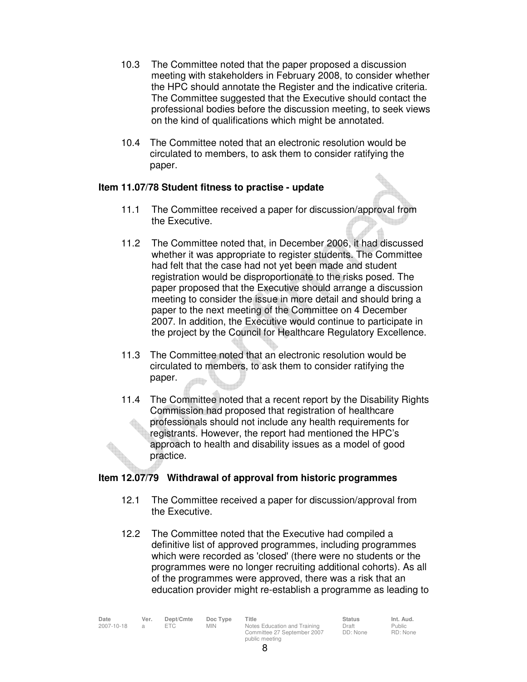- 10.3 The Committee noted that the paper proposed a discussion meeting with stakeholders in February 2008, to consider whether the HPC should annotate the Register and the indicative criteria. The Committee suggested that the Executive should contact the professional bodies before the discussion meeting, to seek views on the kind of qualifications which might be annotated.
- 10.4 The Committee noted that an electronic resolution would be circulated to members, to ask them to consider ratifying the paper.

## **Item 11.07/78 Student fitness to practise - update**

- 11.1 The Committee received a paper for discussion/approval from the Executive.
- 11.2 The Committee noted that, in December 2006, it had discussed whether it was appropriate to register students. The Committee had felt that the case had not yet been made and student registration would be disproportionate to the risks posed. The paper proposed that the Executive should arrange a discussion meeting to consider the issue in more detail and should bring a paper to the next meeting of the Committee on 4 December 2007. In addition, the Executive would continue to participate in the project by the Council for Healthcare Regulatory Excellence.
- 11.3 The Committee noted that an electronic resolution would be circulated to members, to ask them to consider ratifying the paper.  $\triangle$
- 11.4 The Committee noted that a recent report by the Disability Rights Commission had proposed that registration of healthcare professionals should not include any health requirements for registrants. However, the report had mentioned the HPC's approach to health and disability issues as a model of good practice.

# **Item 12.07/79 Withdrawal of approval from historic programmes**

- 12.1 The Committee received a paper for discussion/approval from the Executive.
- 12.2 The Committee noted that the Executive had compiled a definitive list of approved programmes, including programmes which were recorded as 'closed' (there were no students or the programmes were no longer recruiting additional cohorts). As all of the programmes were approved, there was a risk that an education provider might re-establish a programme as leading to

| Date       | Ver. | Dept/Cmte | Doc Type   | Title                        | <b>Status</b> | Int. Aud. |
|------------|------|-----------|------------|------------------------------|---------------|-----------|
| 2007-10-18 |      | FTC.      | <b>MIN</b> | Notes Education and Training | Draft         | Public    |
|            |      |           |            | Committee 27 September 2007  | DD: None      | RD: None  |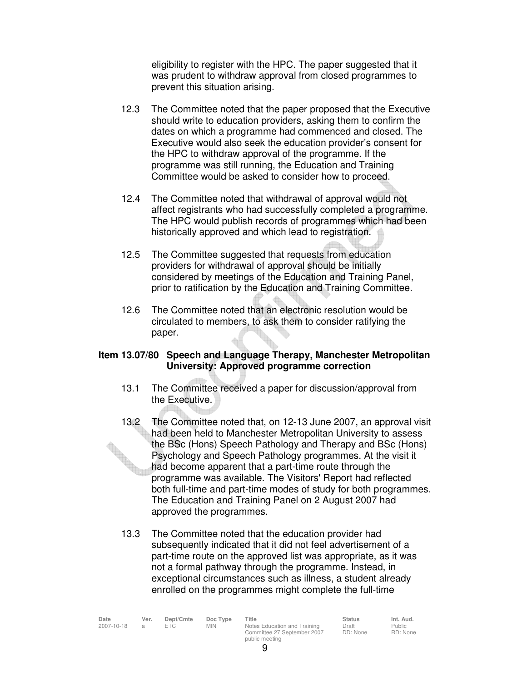eligibility to register with the HPC. The paper suggested that it was prudent to withdraw approval from closed programmes to prevent this situation arising.

- 12.3 The Committee noted that the paper proposed that the Executive should write to education providers, asking them to confirm the dates on which a programme had commenced and closed. The Executive would also seek the education provider's consent for the HPC to withdraw approval of the programme. If the programme was still running, the Education and Training Committee would be asked to consider how to proceed.
- 12.4 The Committee noted that withdrawal of approval would not affect registrants who had successfully completed a programme. The HPC would publish records of programmes which had been historically approved and which lead to registration.
- 12.5 The Committee suggested that requests from education providers for withdrawal of approval should be initially considered by meetings of the Education and Training Panel, prior to ratification by the Education and Training Committee.
- 12.6 The Committee noted that an electronic resolution would be circulated to members, to ask them to consider ratifying the paper.

#### **Item 13.07/80 Speech and Language Therapy, Manchester Metropolitan University: Approved programme correction**

- 13.1 The Committee received a paper for discussion/approval from the Executive.
- 13.2 The Committee noted that, on 12-13 June 2007, an approval visit had been held to Manchester Metropolitan University to assess the BSc (Hons) Speech Pathology and Therapy and BSc (Hons) Psychology and Speech Pathology programmes. At the visit it had become apparent that a part-time route through the programme was available. The Visitors' Report had reflected both full-time and part-time modes of study for both programmes. The Education and Training Panel on 2 August 2007 had approved the programmes.
- 13.3 The Committee noted that the education provider had subsequently indicated that it did not feel advertisement of a part-time route on the approved list was appropriate, as it was not a formal pathway through the programme. Instead, in exceptional circumstances such as illness, a student already enrolled on the programmes might complete the full-time

| Date       | Ver. | Dept/Cmte | Doc Type   | Title                        | <b>Status</b> | Int. Aud. |
|------------|------|-----------|------------|------------------------------|---------------|-----------|
| 2007-10-18 |      |           | <b>MIN</b> | Notes Education and Training | Draft         | Public    |
|            |      |           |            | Committee 27 September 2007  | DD: None      | RD: None  |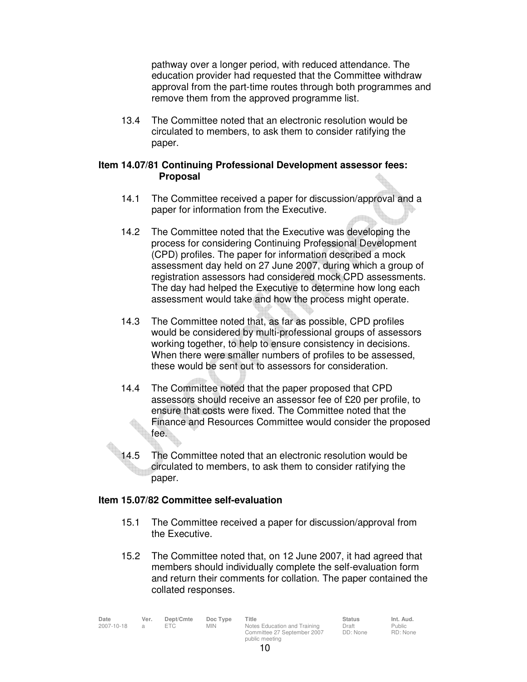pathway over a longer period, with reduced attendance. The education provider had requested that the Committee withdraw approval from the part-time routes through both programmes and remove them from the approved programme list.

 13.4 The Committee noted that an electronic resolution would be circulated to members, to ask them to consider ratifying the paper.

#### **Item 14.07/81 Continuing Professional Development assessor fees: Proposal**

- 14.1 The Committee received a paper for discussion/approval and a paper for information from the Executive.
- 14.2 The Committee noted that the Executive was developing the process for considering Continuing Professional Development (CPD) profiles. The paper for information described a mock assessment day held on 27 June 2007, during which a group of registration assessors had considered mock CPD assessments. The day had helped the Executive to determine how long each assessment would take and how the process might operate.
- 14.3 The Committee noted that, as far as possible, CPD profiles would be considered by multi-professional groups of assessors working together, to help to ensure consistency in decisions. When there were smaller numbers of profiles to be assessed, these would be sent out to assessors for consideration.
- 14.4 The Committee noted that the paper proposed that CPD assessors should receive an assessor fee of £20 per profile, to ensure that costs were fixed. The Committee noted that the Finance and Resources Committee would consider the proposed fee.
- 14.5 The Committee noted that an electronic resolution would be circulated to members, to ask them to consider ratifying the paper.

### **Item 15.07/82 Committee self-evaluation**

- 15.1 The Committee received a paper for discussion/approval from the Executive.
- 15.2 The Committee noted that, on 12 June 2007, it had agreed that members should individually complete the self-evaluation form and return their comments for collation. The paper contained the collated responses.

| Date       | Ver. | Dept/Cmte | Doc Type | Title                        | <b>Status</b> | Int. Aud. |
|------------|------|-----------|----------|------------------------------|---------------|-----------|
| 2007-10-18 |      | ETC.      | MIN.     | Notes Education and Training | Draft         | Public    |
|            |      |           |          | Committee 27 September 2007  | DD: None      | RD: None  |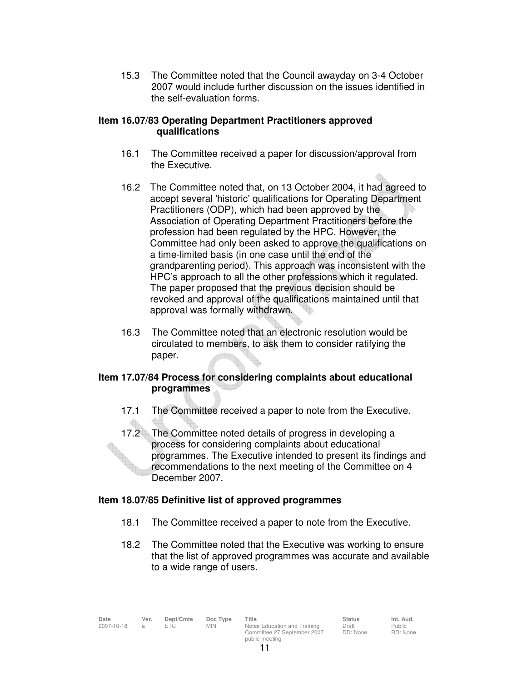15.3 The Committee noted that the Council awayday on 3-4 October 2007 would include further discussion on the issues identified in the self-evaluation forms.

### **Item 16.07/83 Operating Department Practitioners approved qualifications**

- 16.1 The Committee received a paper for discussion/approval from the Executive.
- 16.2 The Committee noted that, on 13 October 2004, it had agreed to accept several 'historic' qualifications for Operating Department Practitioners (ODP), which had been approved by the Association of Operating Department Practitioners before the profession had been regulated by the HPC. However, the Committee had only been asked to approve the qualifications on a time-limited basis (in one case until the end of the grandparenting period). This approach was inconsistent with the HPC's approach to all the other professions which it regulated. The paper proposed that the previous decision should be revoked and approval of the qualifications maintained until that approval was formally withdrawn.
- 16.3 The Committee noted that an electronic resolution would be circulated to members, to ask them to consider ratifying the paper.

# **Item 17.07/84 Process for considering complaints about educational programmes**

- 17.1 The Committee received a paper to note from the Executive.
- 17.2 The Committee noted details of progress in developing a process for considering complaints about educational programmes. The Executive intended to present its findings and recommendations to the next meeting of the Committee on 4 December 2007.

# **Item 18.07/85 Definitive list of approved programmes**

- 18.1 The Committee received a paper to note from the Executive.
- 18.2 The Committee noted that the Executive was working to ensure that the list of approved programmes was accurate and available to a wide range of users.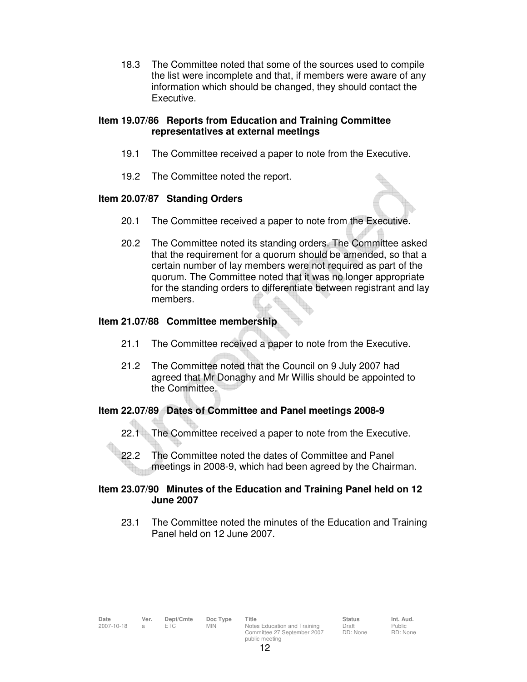18.3 The Committee noted that some of the sources used to compile the list were incomplete and that, if members were aware of any information which should be changed, they should contact the Executive.

### **Item 19.07/86 Reports from Education and Training Committee representatives at external meetings**

- 19.1 The Committee received a paper to note from the Executive.
- 19.2 The Committee noted the report.

#### **Item 20.07/87 Standing Orders**

- 20.1 The Committee received a paper to note from the Executive.
- 20.2 The Committee noted its standing orders. The Committee asked that the requirement for a quorum should be amended, so that a certain number of lay members were not required as part of the quorum. The Committee noted that it was no longer appropriate for the standing orders to differentiate between registrant and lay members.

#### **Item 21.07/88 Committee membership**

- 21.1 The Committee received a paper to note from the Executive.
- 21.2 The Committee noted that the Council on 9 July 2007 had agreed that Mr Donaghy and Mr Willis should be appointed to the Committee.

### **Item 22.07/89 Dates of Committee and Panel meetings 2008-9**

- 22.1 The Committee received a paper to note from the Executive.
- 22.2 The Committee noted the dates of Committee and Panel meetings in 2008-9, which had been agreed by the Chairman.

### **Item 23.07/90 Minutes of the Education and Training Panel held on 12 June 2007**

23.1 The Committee noted the minutes of the Education and Training Panel held on 12 June 2007.

Public RD: None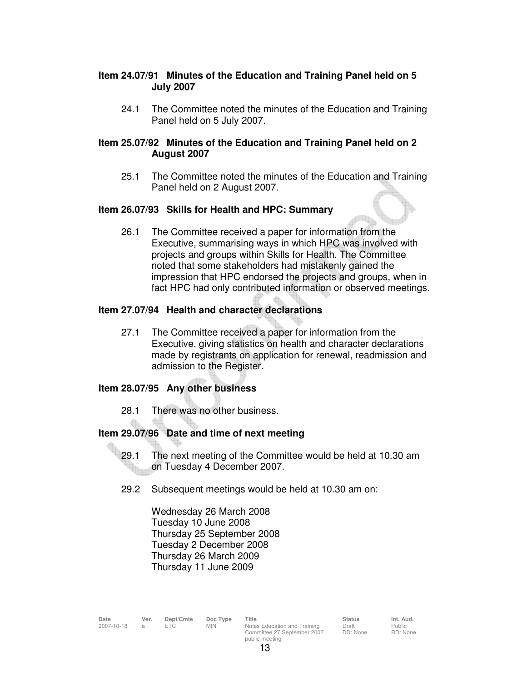## **Item 24.07/91 Minutes of the Education and Training Panel held on 5 July 2007**

24.1 The Committee noted the minutes of the Education and Training Panel held on 5 July 2007.

## **Item 25.07/92 Minutes of the Education and Training Panel held on 2 August 2007**

 25.1 The Committee noted the minutes of the Education and Training Panel held on 2 August 2007.

## **Item 26.07/93 Skills for Health and HPC: Summary**

 26.1 The Committee received a paper for information from the Executive, summarising ways in which HPC was involved with projects and groups within Skills for Health. The Committee noted that some stakeholders had mistakenly gained the impression that HPC endorsed the projects and groups, when in fact HPC had only contributed information or observed meetings.

## **Item 27.07/94 Health and character declarations**

 27.1 The Committee received a paper for information from the Executive, giving statistics on health and character declarations made by registrants on application for renewal, readmission and admission to the Register.

# **Item 28.07/95 Any other business**

28.1 There was no other business.

# **Item 29.07/96 Date and time of next meeting**

- 29.1 The next meeting of the Committee would be held at 10.30 am on Tuesday 4 December 2007.
- 29.2 Subsequent meetings would be held at 10.30 am on:

 Wednesday 26 March 2008 Tuesday 10 June 2008 Thursday 25 September 2008 Tuesday 2 December 2008 Thursday 26 March 2009 Thursday 11 June 2009